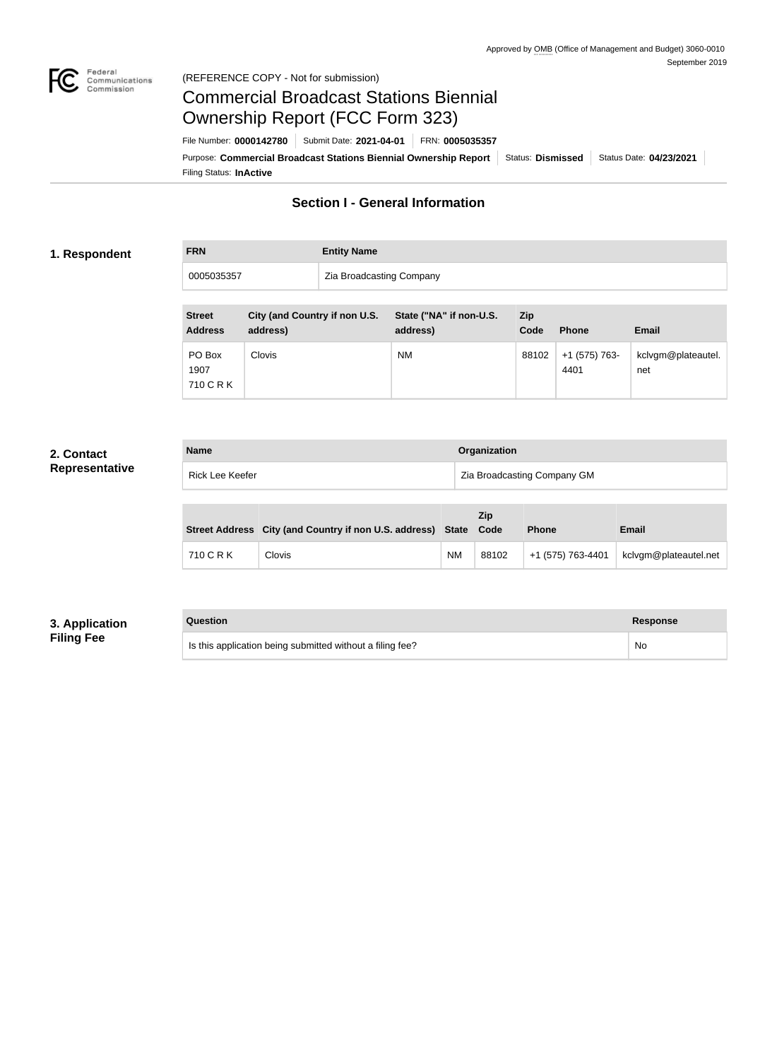

# Commercial Broadcast Stations Biennial Ownership Report (FCC Form 323)

Filing Status: **InActive** Purpose: Commercial Broadcast Stations Biennial Ownership Report Status: Dismissed Status Date: 04/23/2021 File Number: **0000142780** Submit Date: **2021-04-01** FRN: **0005035357**

## **Section I - General Information**

#### **1. Respondent**

**FRN Entity Name**

0005035357 **Zia Broadcasting Company** 

| <b>Street</b><br><b>Address</b> | City (and Country if non U.S.<br>address) | State ("NA" if non-U.S.<br>address) | Zip<br>Code | <b>Phone</b>          | <b>Email</b>              |
|---------------------------------|-------------------------------------------|-------------------------------------|-------------|-----------------------|---------------------------|
| PO Box<br>1907<br>710 C R K     | <b>Clovis</b>                             | <b>NM</b>                           | 88102       | +1 (575) 763-<br>4401 | kclvgm@plateautel.<br>net |

#### **2. Contact Representative**

| <b>Name</b>     | <b>Organization</b>         |  |
|-----------------|-----------------------------|--|
| Rick Lee Keefer | Zia Broadcasting Company GM |  |

|           | Street Address City (and Country if non U.S. address) State Code |    | <b>Zip</b> | <b>Phone</b>      | <b>Email</b>          |
|-----------|------------------------------------------------------------------|----|------------|-------------------|-----------------------|
| 710 C R K | Clovis                                                           | ΝM | 88102      | +1 (575) 763-4401 | kclvgm@plateautel.net |

#### **3. Application Filing Fee**

| Question                                                  | <b>Response</b> |
|-----------------------------------------------------------|-----------------|
| Is this application being submitted without a filing fee? | No              |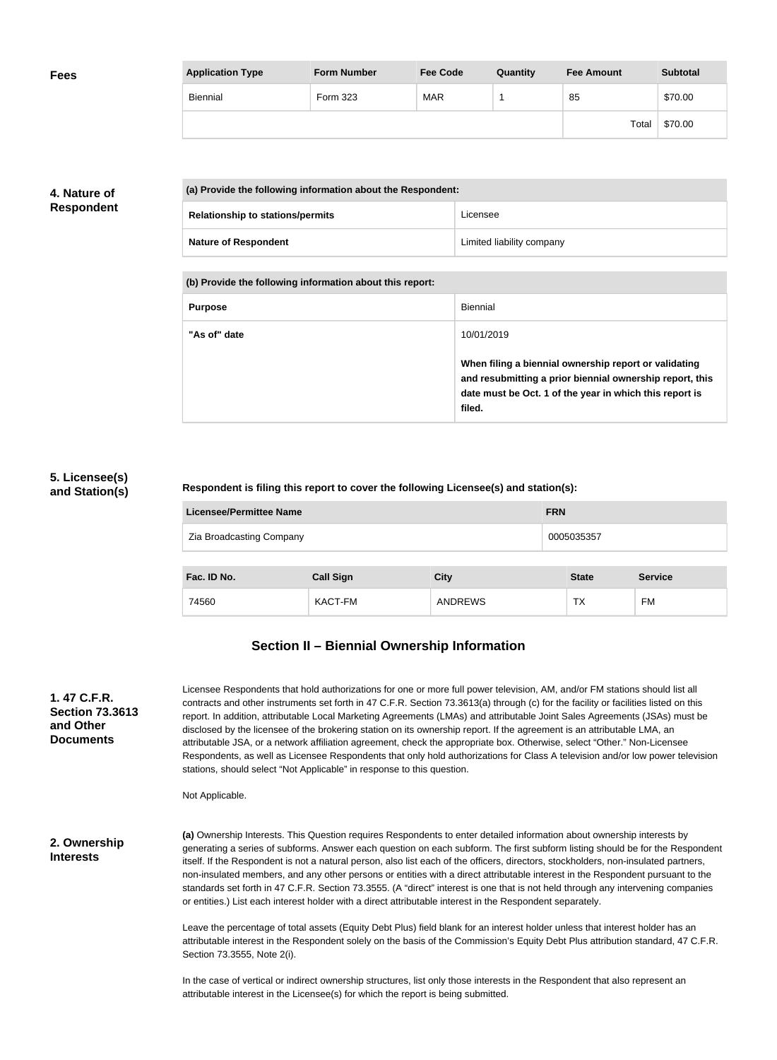| <b>Fees</b> | <b>Application Type</b> | <b>Form Number</b> | <b>Fee Code</b> | Quantity | <b>Fee Amount</b> | <b>Subtotal</b> |
|-------------|-------------------------|--------------------|-----------------|----------|-------------------|-----------------|
|             | Biennial                | Form 323           | <b>MAR</b>      |          | 85                | \$70.00         |
|             |                         |                    |                 |          | Total             | \$70.00         |

### **4. Nature of Respondent**

| (a) Provide the following information about the Respondent: |                                         |                           |  |  |
|-------------------------------------------------------------|-----------------------------------------|---------------------------|--|--|
|                                                             | <b>Relationship to stations/permits</b> | Licensee                  |  |  |
|                                                             | <b>Nature of Respondent</b>             | Limited liability company |  |  |

**(b) Provide the following information about this report:**

| <b>Purpose</b> | Biennial                                                                                                                                                                               |
|----------------|----------------------------------------------------------------------------------------------------------------------------------------------------------------------------------------|
| "As of" date   | 10/01/2019                                                                                                                                                                             |
|                | When filing a biennial ownership report or validating<br>and resubmitting a prior biennial ownership report, this<br>date must be Oct. 1 of the year in which this report is<br>filed. |

#### **5. Licensee(s) and Station(s)**

#### **Respondent is filing this report to cover the following Licensee(s) and station(s):**

| <b>Licensee/Permittee Name</b>         |                  | <b>FRN</b>     |              |                |  |
|----------------------------------------|------------------|----------------|--------------|----------------|--|
| Zia Broadcasting Company<br>0005035357 |                  |                |              |                |  |
|                                        |                  |                |              |                |  |
| Fac. ID No.                            | <b>Call Sign</b> | <b>City</b>    | <b>State</b> | <b>Service</b> |  |
| 74560                                  | KACT-FM          | <b>ANDREWS</b> | TX           | FM             |  |

# **Section II – Biennial Ownership Information**

| 1.47 C.F.R.<br><b>Section 73.3613</b><br>and Other<br><b>Documents</b> | Licensee Respondents that hold authorizations for one or more full power television, AM, and/or FM stations should list all<br>contracts and other instruments set forth in 47 C.F.R. Section 73.3613(a) through (c) for the facility or facilities listed on this<br>report. In addition, attributable Local Marketing Agreements (LMAs) and attributable Joint Sales Agreements (JSAs) must be<br>disclosed by the licensee of the brokering station on its ownership report. If the agreement is an attributable LMA, an<br>attributable JSA, or a network affiliation agreement, check the appropriate box. Otherwise, select "Other." Non-Licensee<br>Respondents, as well as Licensee Respondents that only hold authorizations for Class A television and/or low power television<br>stations, should select "Not Applicable" in response to this question. |
|------------------------------------------------------------------------|--------------------------------------------------------------------------------------------------------------------------------------------------------------------------------------------------------------------------------------------------------------------------------------------------------------------------------------------------------------------------------------------------------------------------------------------------------------------------------------------------------------------------------------------------------------------------------------------------------------------------------------------------------------------------------------------------------------------------------------------------------------------------------------------------------------------------------------------------------------------|
|                                                                        | Not Applicable.                                                                                                                                                                                                                                                                                                                                                                                                                                                                                                                                                                                                                                                                                                                                                                                                                                                    |
| 2. Ownership<br><b>Interests</b>                                       | (a) Ownership Interests. This Question requires Respondents to enter detailed information about ownership interests by<br>generating a series of subforms. Answer each question on each subform. The first subform listing should be for the Respondent<br>itself. If the Respondent is not a natural person, also list each of the officers, directors, stockholders, non-insulated partners,<br>non-insulated members, and any other persons or entities with a direct attributable interest in the Respondent pursuant to the<br>standards set forth in 47 C.F.R. Section 73.3555. (A "direct" interest is one that is not held through any intervening companies<br>or entities.) List each interest holder with a direct attributable interest in the Respondent separately.                                                                                  |
|                                                                        | Leave the percentage of total assets (Equity Debt Plus) field blank for an interest holder unless that interest holder has an<br>attributable interest in the Respondent solely on the basis of the Commission's Equity Debt Plus attribution standard, 47 C.F.R.<br>Section 73.3555, Note 2(i).                                                                                                                                                                                                                                                                                                                                                                                                                                                                                                                                                                   |
|                                                                        | In the case of vertical or indirect ownership structures, list only those interests in the Respondent that also represent an                                                                                                                                                                                                                                                                                                                                                                                                                                                                                                                                                                                                                                                                                                                                       |

attributable interest in the Licensee(s) for which the report is being submitted.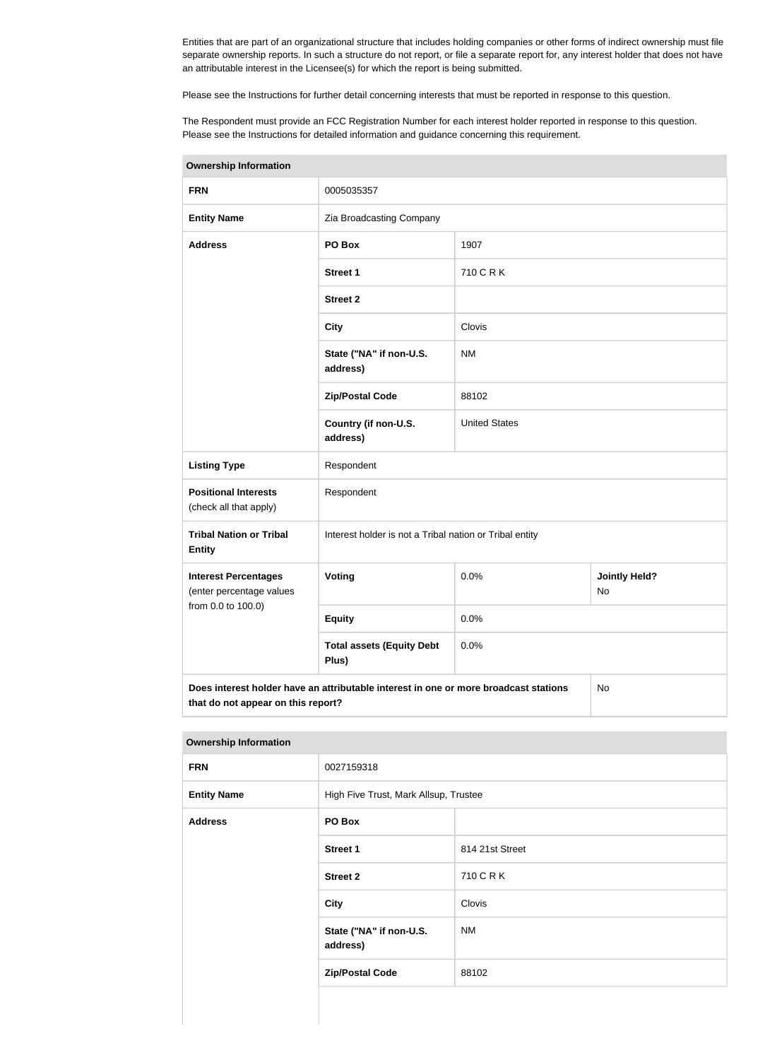Entities that are part of an organizational structure that includes holding companies or other forms of indirect ownership must file separate ownership reports. In such a structure do not report, or file a separate report for, any interest holder that does not have an attributable interest in the Licensee(s) for which the report is being submitted.

Please see the Instructions for further detail concerning interests that must be reported in response to this question.

The Respondent must provide an FCC Registration Number for each interest holder reported in response to this question. Please see the Instructions for detailed information and guidance concerning this requirement.

| <b>Ownership Information</b>                                                                                                     |                                                         |                      |                                   |  |  |  |
|----------------------------------------------------------------------------------------------------------------------------------|---------------------------------------------------------|----------------------|-----------------------------------|--|--|--|
| <b>FRN</b>                                                                                                                       | 0005035357                                              |                      |                                   |  |  |  |
| <b>Entity Name</b>                                                                                                               | Zia Broadcasting Company                                |                      |                                   |  |  |  |
| <b>Address</b>                                                                                                                   | PO Box                                                  | 1907                 |                                   |  |  |  |
|                                                                                                                                  | <b>Street 1</b>                                         | 710 C R K            |                                   |  |  |  |
|                                                                                                                                  | <b>Street 2</b>                                         |                      |                                   |  |  |  |
|                                                                                                                                  | <b>City</b>                                             | Clovis               |                                   |  |  |  |
|                                                                                                                                  | State ("NA" if non-U.S.<br>address)                     | <b>NM</b>            |                                   |  |  |  |
|                                                                                                                                  | <b>Zip/Postal Code</b>                                  | 88102                |                                   |  |  |  |
|                                                                                                                                  | Country (if non-U.S.<br>address)                        | <b>United States</b> |                                   |  |  |  |
| <b>Listing Type</b>                                                                                                              | Respondent                                              |                      |                                   |  |  |  |
| <b>Positional Interests</b><br>(check all that apply)                                                                            | Respondent                                              |                      |                                   |  |  |  |
| <b>Tribal Nation or Tribal</b><br><b>Entity</b>                                                                                  | Interest holder is not a Tribal nation or Tribal entity |                      |                                   |  |  |  |
| <b>Interest Percentages</b><br>(enter percentage values                                                                          | Voting                                                  | 0.0%                 | <b>Jointly Held?</b><br><b>No</b> |  |  |  |
| from 0.0 to 100.0)                                                                                                               | <b>Equity</b>                                           | 0.0%                 |                                   |  |  |  |
| <b>Total assets (Equity Debt</b><br>0.0%<br>Plus)                                                                                |                                                         |                      |                                   |  |  |  |
| Does interest holder have an attributable interest in one or more broadcast stations<br>No<br>that do not appear on this report? |                                                         |                      |                                   |  |  |  |

#### **Ownership Information**

| <b>FRN</b>         | 0027159318                            |                 |  |  |
|--------------------|---------------------------------------|-----------------|--|--|
| <b>Entity Name</b> | High Five Trust, Mark Allsup, Trustee |                 |  |  |
| <b>Address</b>     | PO Box                                |                 |  |  |
|                    | <b>Street 1</b>                       | 814 21st Street |  |  |
|                    | <b>Street 2</b>                       | 710 C R K       |  |  |
|                    | <b>City</b>                           | Clovis          |  |  |
|                    | State ("NA" if non-U.S.<br>address)   | <b>NM</b>       |  |  |
|                    | <b>Zip/Postal Code</b>                | 88102           |  |  |
|                    |                                       |                 |  |  |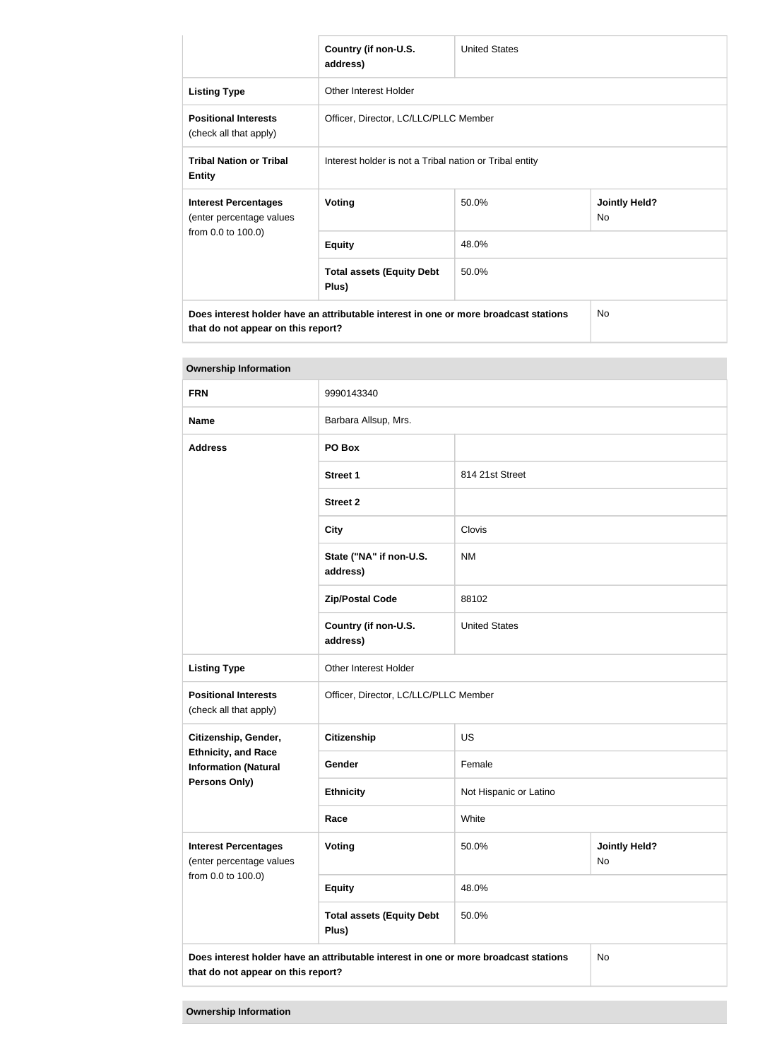|                                                                                                                            | Country (if non-U.S.<br>address)                        | <b>United States</b> |                             |  |  |
|----------------------------------------------------------------------------------------------------------------------------|---------------------------------------------------------|----------------------|-----------------------------|--|--|
| <b>Listing Type</b>                                                                                                        | Other Interest Holder                                   |                      |                             |  |  |
| <b>Positional Interests</b><br>(check all that apply)                                                                      | Officer, Director, LC/LLC/PLLC Member                   |                      |                             |  |  |
| <b>Tribal Nation or Tribal</b><br><b>Entity</b>                                                                            | Interest holder is not a Tribal nation or Tribal entity |                      |                             |  |  |
| <b>Interest Percentages</b><br>(enter percentage values                                                                    | Voting                                                  | 50.0%                | <b>Jointly Held?</b><br>No. |  |  |
| from 0.0 to 100.0)                                                                                                         | <b>Equity</b>                                           | 48.0%                |                             |  |  |
|                                                                                                                            | <b>Total assets (Equity Debt</b><br>Plus)               | 50.0%                |                             |  |  |
| Does interest holder have an attributable interest in one or more broadcast stations<br>that do not appear on this report? |                                                         | No.                  |                             |  |  |

| <b>Ownership Information</b>                                                                       |                                                                                      |                        |                            |  |
|----------------------------------------------------------------------------------------------------|--------------------------------------------------------------------------------------|------------------------|----------------------------|--|
| <b>FRN</b>                                                                                         | 9990143340                                                                           |                        |                            |  |
| <b>Name</b>                                                                                        | Barbara Allsup, Mrs.                                                                 |                        |                            |  |
| <b>Address</b>                                                                                     | PO Box                                                                               |                        |                            |  |
|                                                                                                    | <b>Street 1</b>                                                                      | 814 21st Street        |                            |  |
|                                                                                                    | <b>Street 2</b>                                                                      |                        |                            |  |
|                                                                                                    | <b>City</b>                                                                          | Clovis                 |                            |  |
|                                                                                                    | State ("NA" if non-U.S.<br>address)                                                  | <b>NM</b>              |                            |  |
|                                                                                                    | <b>Zip/Postal Code</b>                                                               | 88102                  |                            |  |
|                                                                                                    | Country (if non-U.S.<br>address)                                                     | <b>United States</b>   |                            |  |
| <b>Listing Type</b>                                                                                | Other Interest Holder                                                                |                        |                            |  |
| <b>Positional Interests</b><br>(check all that apply)                                              | Officer, Director, LC/LLC/PLLC Member                                                |                        |                            |  |
| Citizenship, Gender,<br><b>Ethnicity, and Race</b><br><b>Information (Natural</b><br>Persons Only) | <b>Citizenship</b>                                                                   | <b>US</b>              |                            |  |
|                                                                                                    | Gender                                                                               | Female                 |                            |  |
|                                                                                                    | <b>Ethnicity</b>                                                                     | Not Hispanic or Latino |                            |  |
|                                                                                                    | Race                                                                                 | White                  |                            |  |
| <b>Interest Percentages</b><br>(enter percentage values<br>from 0.0 to 100.0)                      | Voting                                                                               | 50.0%                  | <b>Jointly Held?</b><br>No |  |
|                                                                                                    | <b>Equity</b>                                                                        | 48.0%                  |                            |  |
|                                                                                                    | <b>Total assets (Equity Debt</b><br>Plus)                                            | 50.0%                  |                            |  |
| that do not appear on this report?                                                                 | Does interest holder have an attributable interest in one or more broadcast stations |                        | <b>No</b>                  |  |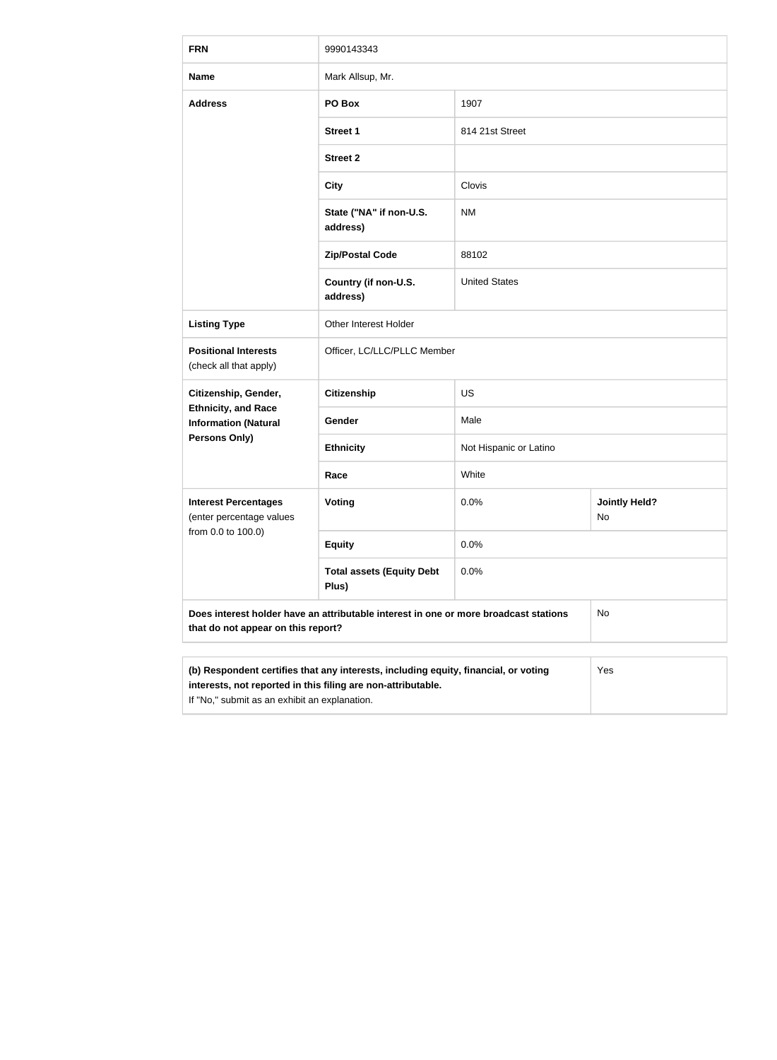| <b>FRN</b>                                                                                                                                                                                           | 9990143343                                |                        |                            |  |
|------------------------------------------------------------------------------------------------------------------------------------------------------------------------------------------------------|-------------------------------------------|------------------------|----------------------------|--|
| <b>Name</b>                                                                                                                                                                                          | Mark Allsup, Mr.                          |                        |                            |  |
| <b>Address</b>                                                                                                                                                                                       | PO Box                                    | 1907                   |                            |  |
|                                                                                                                                                                                                      | <b>Street 1</b>                           | 814 21st Street        |                            |  |
|                                                                                                                                                                                                      | <b>Street 2</b>                           |                        |                            |  |
|                                                                                                                                                                                                      | <b>City</b>                               | Clovis                 |                            |  |
|                                                                                                                                                                                                      | State ("NA" if non-U.S.<br>address)       | <b>NM</b>              |                            |  |
|                                                                                                                                                                                                      | <b>Zip/Postal Code</b>                    | 88102                  |                            |  |
|                                                                                                                                                                                                      | Country (if non-U.S.<br>address)          | <b>United States</b>   |                            |  |
| <b>Listing Type</b>                                                                                                                                                                                  | Other Interest Holder                     |                        |                            |  |
| <b>Positional Interests</b><br>(check all that apply)                                                                                                                                                | Officer, LC/LLC/PLLC Member               |                        |                            |  |
| Citizenship, Gender,                                                                                                                                                                                 | <b>Citizenship</b>                        | <b>US</b>              |                            |  |
| <b>Ethnicity, and Race</b><br><b>Information (Natural</b>                                                                                                                                            | Gender                                    | Male                   |                            |  |
| Persons Only)                                                                                                                                                                                        | <b>Ethnicity</b>                          | Not Hispanic or Latino |                            |  |
|                                                                                                                                                                                                      | Race                                      | White                  |                            |  |
| <b>Interest Percentages</b><br>(enter percentage values<br>from 0.0 to 100.0)                                                                                                                        | <b>Voting</b>                             | 0.0%                   | <b>Jointly Held?</b><br>No |  |
|                                                                                                                                                                                                      | <b>Equity</b>                             | 0.0%                   |                            |  |
|                                                                                                                                                                                                      | <b>Total assets (Equity Debt</b><br>Plus) | 0.0%                   |                            |  |
| Does interest holder have an attributable interest in one or more broadcast stations<br>that do not appear on this report?                                                                           |                                           |                        | No                         |  |
|                                                                                                                                                                                                      |                                           |                        |                            |  |
| (b) Respondent certifies that any interests, including equity, financial, or voting<br>interests, not reported in this filing are non-attributable.<br>If "No," submit as an exhibit an explanation. |                                           |                        | Yes                        |  |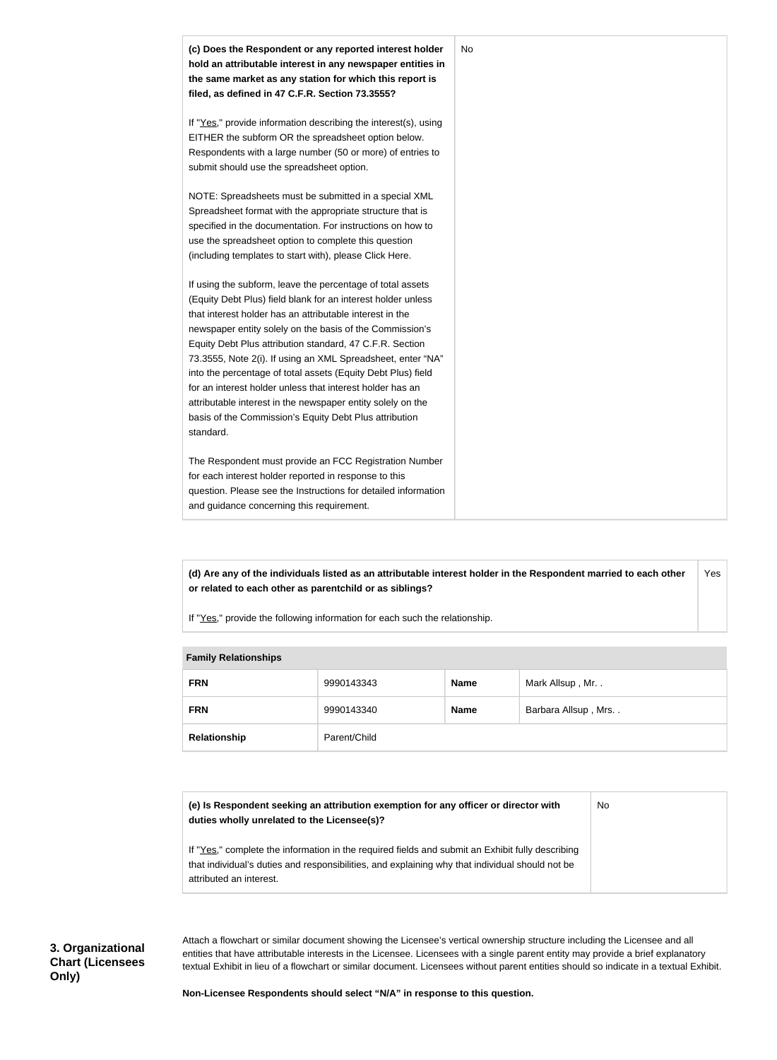

**(d) Are any of the individuals listed as an attributable interest holder in the Respondent married to each other or related to each other as parentchild or as siblings?** Yes

If "Yes," provide the following information for each such the relationship.

| <b>EQUILITY INCIDENTION</b> |              |             |                     |
|-----------------------------|--------------|-------------|---------------------|
| <b>FRN</b>                  | 9990143343   | <b>Name</b> | Mark Allsup, Mr     |
| <b>FRN</b>                  | 9990143340   | <b>Name</b> | Barbara Allsup, Mrs |
| Relationship                | Parent/Child |             |                     |

#### **Family Relationships**

| (e) Is Respondent seeking an attribution exemption for any officer or director with | No |
|-------------------------------------------------------------------------------------|----|
| duties wholly unrelated to the Licensee(s)?                                         |    |

If "Yes," complete the information in the required fields and submit an Exhibit fully describing that individual's duties and responsibilities, and explaining why that individual should not be attributed an interest.

Attach a flowchart or similar document showing the Licensee's vertical ownership structure including the Licensee and all entities that have attributable interests in the Licensee. Licensees with a single parent entity may provide a brief explanatory textual Exhibit in lieu of a flowchart or similar document. Licensees without parent entities should so indicate in a textual Exhibit.

**Non-Licensee Respondents should select "N/A" in response to this question.**